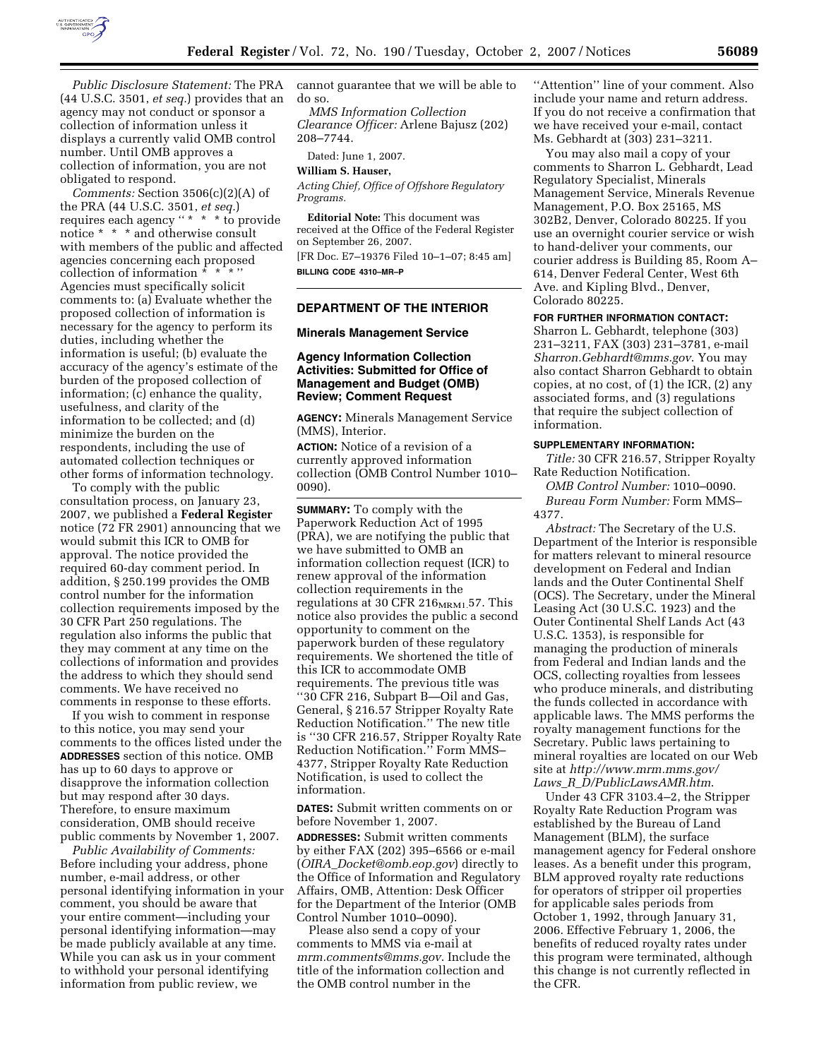

*Public Disclosure Statement:* The PRA (44 U.S.C. 3501, *et seq.*) provides that an agency may not conduct or sponsor a collection of information unless it displays a currently valid OMB control number. Until OMB approves a collection of information, you are not obligated to respond.

*Comments:* Section 3506(c)(2)(A) of the PRA (44 U.S.C. 3501, *et seq.*) requires each agency "\* \* \* to provide notice \* \* \* and otherwise consult with members of the public and affected agencies concerning each proposed collection of information  $* * * "$ Agencies must specifically solicit comments to: (a) Evaluate whether the proposed collection of information is necessary for the agency to perform its duties, including whether the information is useful; (b) evaluate the accuracy of the agency's estimate of the burden of the proposed collection of information; (c) enhance the quality, usefulness, and clarity of the information to be collected; and (d) minimize the burden on the respondents, including the use of automated collection techniques or other forms of information technology.

To comply with the public consultation process, on January 23, 2007, we published a **Federal Register**  notice (72 FR 2901) announcing that we would submit this ICR to OMB for approval. The notice provided the required 60-day comment period. In addition, § 250.199 provides the OMB control number for the information collection requirements imposed by the 30 CFR Part 250 regulations. The regulation also informs the public that they may comment at any time on the collections of information and provides the address to which they should send comments. We have received no comments in response to these efforts.

If you wish to comment in response to this notice, you may send your comments to the offices listed under the **ADDRESSES** section of this notice. OMB has up to 60 days to approve or disapprove the information collection but may respond after 30 days. Therefore, to ensure maximum consideration, OMB should receive public comments by November 1, 2007.

*Public Availability of Comments:*  Before including your address, phone number, e-mail address, or other personal identifying information in your comment, you should be aware that your entire comment—including your personal identifying information—may be made publicly available at any time. While you can ask us in your comment to withhold your personal identifying information from public review, we

cannot guarantee that we will be able to do so.

*MMS Information Collection Clearance Officer:* Arlene Bajusz (202) 208–7744.

Dated: June 1, 2007.

**William S. Hauser,** 

*Acting Chief, Office of Offshore Regulatory Programs.* 

**Editorial Note:** This document was received at the Office of the Federal Register on September 26, 2007. [FR Doc. E7–19376 Filed 10–1–07; 8:45 am] **BILLING CODE 4310–MR–P** 

# **DEPARTMENT OF THE INTERIOR**

## **Minerals Management Service**

## **Agency Information Collection Activities: Submitted for Office of Management and Budget (OMB) Review; Comment Request**

**AGENCY:** Minerals Management Service (MMS), Interior.

**ACTION:** Notice of a revision of a currently approved information collection (OMB Control Number 1010– 0090).

**SUMMARY:** To comply with the Paperwork Reduction Act of 1995 (PRA), we are notifying the public that we have submitted to OMB an information collection request (ICR) to renew approval of the information collection requirements in the regulations at 30 CFR 216<sub>MRM1.</sub>57. This notice also provides the public a second opportunity to comment on the paperwork burden of these regulatory requirements. We shortened the title of this ICR to accommodate OMB requirements. The previous title was ''30 CFR 216, Subpart B—Oil and Gas, General, § 216.57 Stripper Royalty Rate Reduction Notification.'' The new title is ''30 CFR 216.57, Stripper Royalty Rate Reduction Notification.'' Form MMS– 4377, Stripper Royalty Rate Reduction Notification, is used to collect the information.

**DATES:** Submit written comments on or before November 1, 2007.

**ADDRESSES:** Submit written comments by either FAX (202) 395–6566 or e-mail (*OIRA*\_*Docket@omb.eop.gov*) directly to the Office of Information and Regulatory Affairs, OMB, Attention: Desk Officer for the Department of the Interior (OMB Control Number 1010–0090).

Please also send a copy of your comments to MMS via e-mail at *mrm.comments@mms.gov*. Include the title of the information collection and the OMB control number in the

"Attention" line of your comment. Also include your name and return address. If you do not receive a confirmation that we have received your e-mail, contact Ms. Gebhardt at (303) 231–3211.

You may also mail a copy of your comments to Sharron L. Gebhardt, Lead Regulatory Specialist, Minerals Management Service, Minerals Revenue Management, P.O. Box 25165, MS 302B2, Denver, Colorado 80225. If you use an overnight courier service or wish to hand-deliver your comments, our courier address is Building 85, Room A– 614, Denver Federal Center, West 6th Ave. and Kipling Blvd., Denver, Colorado 80225.

## **FOR FURTHER INFORMATION CONTACT:**

Sharron L. Gebhardt, telephone (303) 231–3211, FAX (303) 231–3781, e-mail *Sharron.Gebhardt@mms.gov*. You may also contact Sharron Gebhardt to obtain copies, at no cost, of (1) the ICR, (2) any associated forms, and (3) regulations that require the subject collection of information.

### **SUPPLEMENTARY INFORMATION:**

*Title:* 30 CFR 216.57, Stripper Royalty Rate Reduction Notification.

*OMB Control Number:* 1010–0090. *Bureau Form Number:* Form MMS– 4377.

*Abstract:* The Secretary of the U.S. Department of the Interior is responsible for matters relevant to mineral resource development on Federal and Indian lands and the Outer Continental Shelf (OCS). The Secretary, under the Mineral Leasing Act (30 U.S.C. 1923) and the Outer Continental Shelf Lands Act (43 U.S.C. 1353), is responsible for managing the production of minerals from Federal and Indian lands and the OCS, collecting royalties from lessees who produce minerals, and distributing the funds collected in accordance with applicable laws. The MMS performs the royalty management functions for the Secretary. Public laws pertaining to mineral royalties are located on our Web site at *http://www.mrm.mms.gov/ Laws*\_*R*\_*D/PublicLawsAMR.htm*.

Under 43 CFR 3103.4–2, the Stripper Royalty Rate Reduction Program was established by the Bureau of Land Management (BLM), the surface management agency for Federal onshore leases. As a benefit under this program, BLM approved royalty rate reductions for operators of stripper oil properties for applicable sales periods from October 1, 1992, through January 31, 2006. Effective February 1, 2006, the benefits of reduced royalty rates under this program were terminated, although this change is not currently reflected in the CFR.